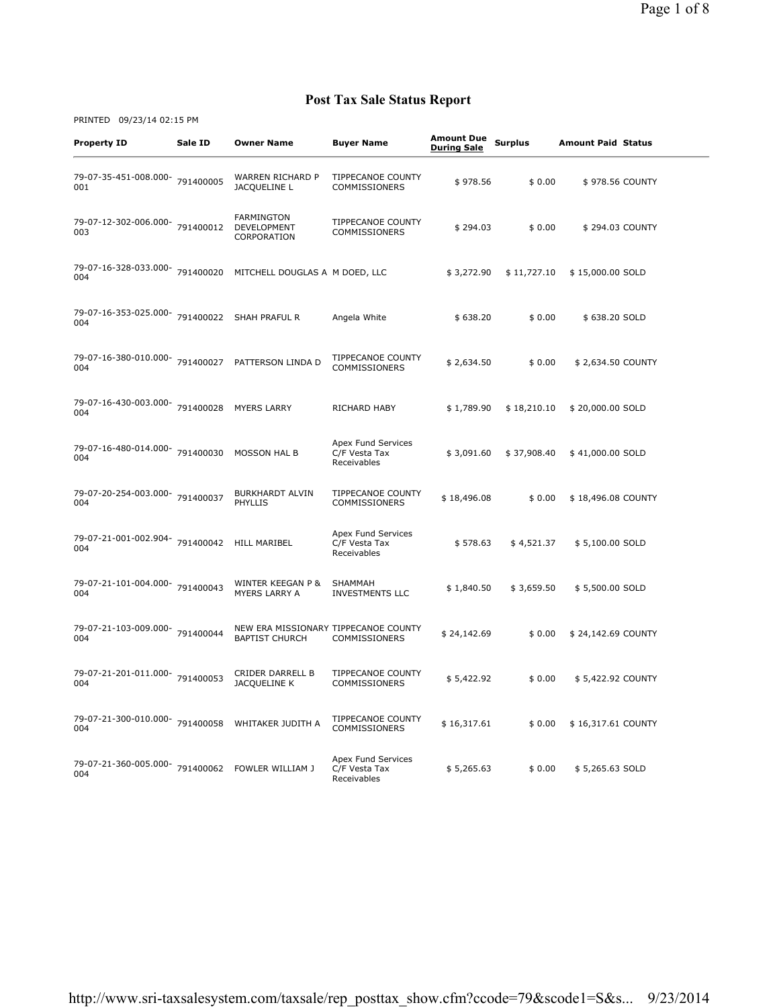| <b>Property ID</b>                                       | Sale ID   | <b>Owner Name</b>                                             | <b>Buyer Name</b>                                  | <b>Amount Due</b><br><b>During Sale</b> | <b>Surplus</b> | <b>Amount Paid Status</b> |
|----------------------------------------------------------|-----------|---------------------------------------------------------------|----------------------------------------------------|-----------------------------------------|----------------|---------------------------|
| 79-07-35-451-008.000-<br>001                             | 791400005 | WARREN RICHARD P<br>JACQUELINE L                              | TIPPECANOE COUNTY<br><b>COMMISSIONERS</b>          | \$978.56                                | \$0.00         | \$978.56 COUNTY           |
| 79-07-12-302-006.000- 791400012<br>003                   |           | <b>FARMINGTON</b><br>DEVELOPMENT<br>CORPORATION               | <b>TIPPECANOE COUNTY</b><br>COMMISSIONERS          | \$294.03                                | \$0.00         | \$294.03 COUNTY           |
| 79-07-16-328-033.000- 791400020<br>004                   |           | MITCHELL DOUGLAS A M DOED, LLC                                |                                                    | \$3,272.90                              | \$11,727.10    | \$15,000.00 SOLD          |
| 79-07-16-353-025.000- 791400022 SHAH PRAFUL R<br>004     |           |                                                               | Angela White                                       | \$638.20                                | \$0.00         | \$638.20 SOLD             |
| 79-07-16-380-010.000- 791400027 PATTERSON LINDA D<br>004 |           |                                                               | TIPPECANOE COUNTY<br>COMMISSIONERS                 | \$2,634.50                              | \$0.00         | \$ 2,634.50 COUNTY        |
| 79-07-16-430-003.000- 791400028<br>004                   |           | <b>MYERS LARRY</b>                                            | RICHARD HABY                                       | \$1,789.90                              | \$18,210.10    | \$20,000.00 SOLD          |
| 79-07-16-480-014.000- 791400030<br>004                   |           | <b>MOSSON HAL B</b>                                           | Apex Fund Services<br>C/F Vesta Tax<br>Receivables | \$3,091.60                              | \$37,908.40    | \$41,000.00 SOLD          |
| 79-07-20-254-003.000- 791400037<br>004                   |           | <b>BURKHARDT ALVIN</b><br><b>PHYLLIS</b>                      | TIPPECANOE COUNTY<br><b>COMMISSIONERS</b>          | \$18,496.08                             | \$0.00         | \$18,496.08 COUNTY        |
| 79-07-21-001-002.904- 791400042<br>004                   |           | HILL MARIBEL                                                  | Apex Fund Services<br>C/F Vesta Tax<br>Receivables | \$578.63                                | \$4,521.37     | \$5,100.00 SOLD           |
| 79-07-21-101-004.000-791400043<br>004                    |           | WINTER KEEGAN P &<br>MYERS LARRY A                            | <b>SHAMMAH</b><br><b>INVESTMENTS LLC</b>           | \$1,840.50                              | \$3,659.50     | \$5,500.00 SOLD           |
| 79-07-21-103-009.000-<br>004                             | 791400044 | NEW ERA MISSIONARY TIPPECANOE COUNTY<br><b>BAPTIST CHURCH</b> | <b>COMMISSIONERS</b>                               | \$24,142.69                             | \$0.00         | \$24,142.69 COUNTY        |
| 79-07-21-201-011.000- 791400053<br>004                   |           | CRIDER DARRELL B<br>JACQUELINE K                              | TIPPECANOE COUNTY<br>COMMISSIONERS                 | \$5,422.92                              | \$0.00         | \$5,422.92 COUNTY         |
| 79-07-21-300-010.000- 791400058<br>004                   |           | WHITAKER JUDITH A                                             | TIPPECANOE COUNTY<br>COMMISSIONERS                 | \$16,317.61                             | \$0.00         | \$16,317.61 COUNTY        |
| 79-07-21-360-005.000- 791400062 FOWLER WILLIAM J<br>004  |           |                                                               | Apex Fund Services<br>C/F Vesta Tax<br>Receivables | \$5,265.63                              | \$0.00         | \$5,265.63 SOLD           |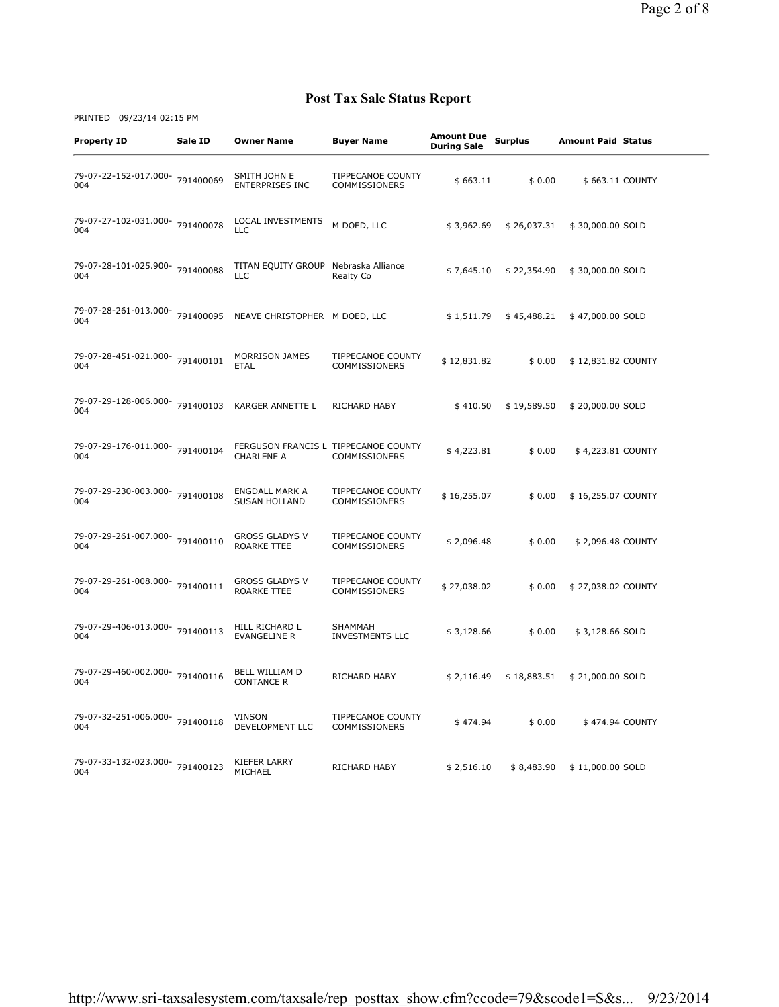| <b>Property ID</b>                     | Sale ID   | Owner Name                                                | <b>Buyer Name</b>                         | <b>Amount Due</b><br><b>During Sale</b> | <b>Surplus</b> | <b>Amount Paid Status</b> |  |
|----------------------------------------|-----------|-----------------------------------------------------------|-------------------------------------------|-----------------------------------------|----------------|---------------------------|--|
| 79-07-22-152-017.000- 791400069<br>004 |           | SMITH JOHN E<br><b>ENTERPRISES INC</b>                    | <b>TIPPECANOE COUNTY</b><br>COMMISSIONERS | \$663.11                                | \$0.00         | \$663.11 COUNTY           |  |
| 79-07-27-102-031.000- 791400078<br>004 |           | <b>LOCAL INVESTMENTS</b><br><b>LLC</b>                    | M DOED, LLC                               | \$3,962.69                              | \$26,037.31    | \$30,000.00 SOLD          |  |
| 79-07-28-101-025.900-791400088<br>004  |           | TITAN EQUITY GROUP<br><b>LLC</b>                          | Nebraska Alliance<br>Realty Co            | \$7,645.10                              | \$22,354.90    | \$30,000.00 SOLD          |  |
| 79-07-28-261-013.000- 791400095<br>004 |           | NEAVE CHRISTOPHER M DOED, LLC                             |                                           | \$1,511.79                              | \$45,488.21    | \$47,000.00 SOLD          |  |
| 79-07-28-451-021.000-<br>004           | 791400101 | <b>MORRISON JAMES</b><br><b>ETAL</b>                      | TIPPECANOE COUNTY<br>COMMISSIONERS        | \$12,831.82                             | \$0.00         | \$12,831.82 COUNTY        |  |
| 79-07-29-128-006.000- 791400103<br>004 |           | <b>KARGER ANNETTE L</b>                                   | <b>RICHARD HABY</b>                       | \$410.50                                | \$19,589.50    | \$20,000.00 SOLD          |  |
| 79-07-29-176-011.000- 791400104<br>004 |           | FERGUSON FRANCIS L TIPPECANOE COUNTY<br><b>CHARLENE A</b> | <b>COMMISSIONERS</b>                      | \$4,223.81                              | \$0.00         | \$4,223.81 COUNTY         |  |
| 79-07-29-230-003.000-791400108<br>004  |           | <b>ENGDALL MARK A</b><br><b>SUSAN HOLLAND</b>             | TIPPECANOE COUNTY<br><b>COMMISSIONERS</b> | \$16,255.07                             | \$0.00         | \$16,255.07 COUNTY        |  |
| 79-07-29-261-007.000-791400110<br>004  |           | <b>GROSS GLADYS V</b><br>ROARKE TTEE                      | TIPPECANOE COUNTY<br><b>COMMISSIONERS</b> | \$2,096.48                              | \$0.00         | \$2,096.48 COUNTY         |  |
| 79-07-29-261-008.000- 791400111<br>004 |           | <b>GROSS GLADYS V</b><br><b>ROARKE TTEE</b>               | TIPPECANOE COUNTY<br><b>COMMISSIONERS</b> | \$27,038.02                             | \$0.00         | \$27,038.02 COUNTY        |  |
| 79-07-29-406-013.000- 791400113<br>004 |           | HILL RICHARD L<br><b>EVANGELINE R</b>                     | <b>SHAMMAH</b><br><b>INVESTMENTS LLC</b>  | \$3,128.66                              | \$0.00         | \$3,128.66 SOLD           |  |
| 79-07-29-460-002.000- 791400116<br>004 |           | BELL WILLIAM D<br><b>CONTANCE R</b>                       | RICHARD HABY                              | \$2,116.49                              | \$18,883.51    | \$21,000.00 SOLD          |  |
| 79-07-32-251-006.000- 791400118<br>004 |           | <b>VINSON</b><br>DEVELOPMENT LLC                          | TIPPECANOE COUNTY<br>COMMISSIONERS        | \$474.94                                | \$0.00         | \$474.94 COUNTY           |  |
| 79-07-33-132-023.000- 791400123<br>004 |           | KIEFER LARRY<br>MICHAEL                                   | RICHARD HABY                              | \$2,516.10                              | \$8,483.90     | \$11,000.00 SOLD          |  |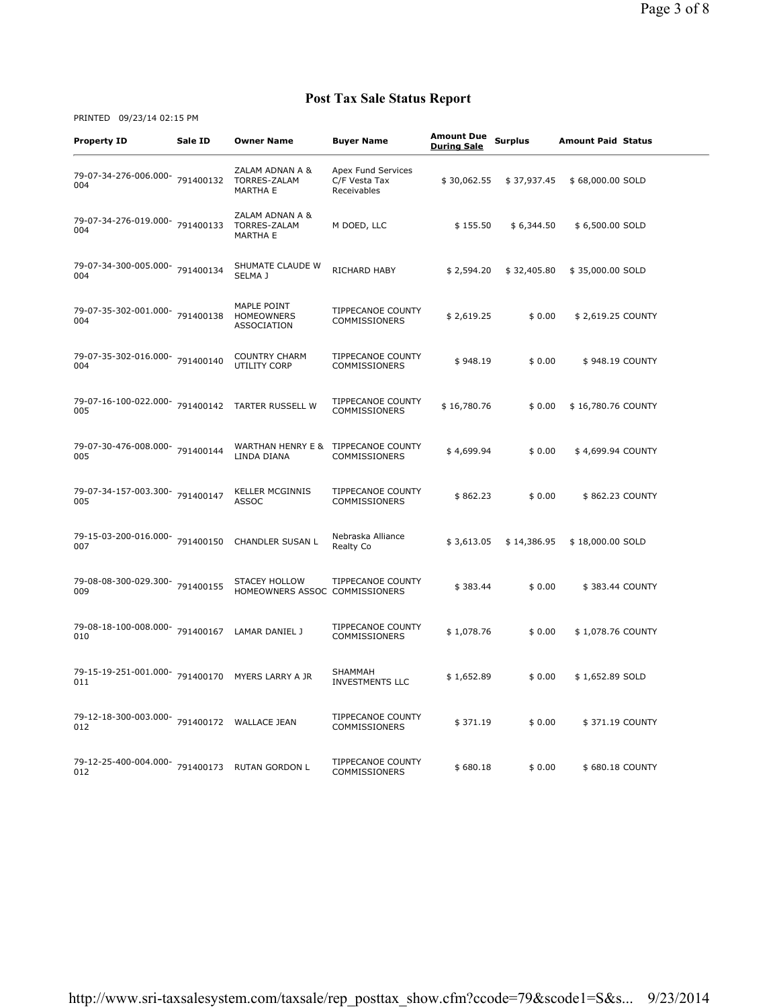| <b>Property ID</b>                                      | Sale ID | <b>Owner Name</b>                                      | Buyer Name                                         | <b>Amount Due</b><br><b>During Sale</b> | <b>Surplus</b> | <b>Amount Paid Status</b> |
|---------------------------------------------------------|---------|--------------------------------------------------------|----------------------------------------------------|-----------------------------------------|----------------|---------------------------|
| 79-07-34-276-006.000- 791400132<br>004                  |         | ZALAM ADNAN A &<br>TORRES-ZALAM<br><b>MARTHA E</b>     | Apex Fund Services<br>C/F Vesta Tax<br>Receivables | \$30,062.55                             | \$37,937.45    | \$68,000.00 SOLD          |
| 79-07-34-276-019.000-791400133<br>004                   |         | ZALAM ADNAN A &<br>TORRES-ZALAM<br><b>MARTHA E</b>     | M DOED, LLC                                        | \$155.50                                | \$6,344.50     | \$6,500.00 SOLD           |
| 79-07-34-300-005.000- 791400134<br>004                  |         | SHUMATE CLAUDE W<br>SELMA J                            | RICHARD HABY                                       | \$2,594.20                              | \$32,405.80    | \$35,000.00 SOLD          |
| 79-07-35-302-001.000- 791400138<br>004                  |         | MAPLE POINT<br><b>HOMEOWNERS</b><br><b>ASSOCIATION</b> | TIPPECANOE COUNTY<br>COMMISSIONERS                 | \$2,619.25                              | \$0.00         | \$2,619.25 COUNTY         |
| 79-07-35-302-016.000- 791400140<br>004                  |         | <b>COUNTRY CHARM</b><br>UTILITY CORP                   | TIPPECANOE COUNTY<br>COMMISSIONERS                 | \$948.19                                | \$0.00         | \$948.19 COUNTY           |
| 79-07-16-100-022.000- 791400142<br>005                  |         | <b>TARTER RUSSELL W</b>                                | TIPPECANOE COUNTY<br>COMMISSIONERS                 | \$16,780.76                             | \$0.00         | \$16,780.76 COUNTY        |
| 79-07-30-476-008.000- 791400144<br>005                  |         | WARTHAN HENRY E &<br>LINDA DIANA                       | TIPPECANOE COUNTY<br>COMMISSIONERS                 | \$4,699.94                              | \$0.00         | \$4,699.94 COUNTY         |
| 79-07-34-157-003.300-791400147<br>005                   |         | <b>KELLER MCGINNIS</b><br>ASSOC                        | <b>TIPPECANOE COUNTY</b><br><b>COMMISSIONERS</b>   | \$862.23                                | \$0.00         | \$862.23 COUNTY           |
| 79-15-03-200-016.000-791400150<br>007                   |         | <b>CHANDLER SUSAN L</b>                                | Nebraska Alliance<br>Realty Co                     | \$3,613.05                              | \$14,386.95    | \$18,000.00 SOLD          |
| 79-08-08-300-029.300- 791400155<br>009                  |         | <b>STACEY HOLLOW</b><br>HOMEOWNERS ASSOC COMMISSIONERS | <b>TIPPECANOE COUNTY</b>                           | \$383.44                                | \$0.00         | \$383.44 COUNTY           |
| 79-08-18-100-008.000- 791400167<br>010                  |         | LAMAR DANIEL J                                         | TIPPECANOE COUNTY<br><b>COMMISSIONERS</b>          | \$1,078.76                              | \$0.00         | \$1,078.76 COUNTY         |
| 79-15-19-251-001.000- 791400170 MYERS LARRY A JR<br>011 |         |                                                        | SHAMMAH<br><b>INVESTMENTS LLC</b>                  | \$1,652.89                              | \$0.00         | \$1,652.89 SOLD           |
| 79-12-18-300-003.000- 791400172 WALLACE JEAN<br>012     |         |                                                        | <b>TIPPECANOE COUNTY</b><br><b>COMMISSIONERS</b>   | \$371.19                                | \$0.00         | \$371.19 COUNTY           |
| 79-12-25-400-004.000- 791400173 RUTAN GORDON L<br>012   |         |                                                        | TIPPECANOE COUNTY<br>COMMISSIONERS                 | \$680.18                                | \$0.00         | \$680.18 COUNTY           |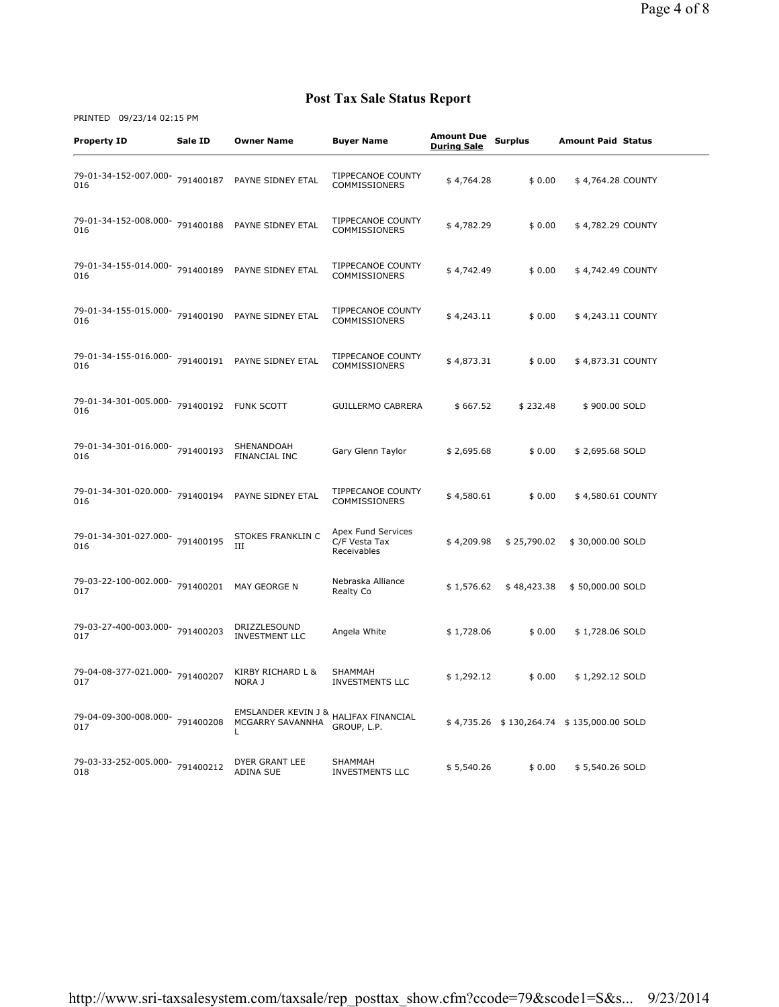| <b>Property ID</b>                                       | Sale ID | <b>Owner Name</b>                            | <b>Buyer Name</b>                                  | <b>Amount Due</b><br><b>During Sale</b> | <b>Surplus</b> | <b>Amount Paid Status</b>                 |  |
|----------------------------------------------------------|---------|----------------------------------------------|----------------------------------------------------|-----------------------------------------|----------------|-------------------------------------------|--|
| 79-01-34-152-007.000- 791400187<br>016                   |         | PAYNE SIDNEY ETAL                            | <b>TIPPECANOE COUNTY</b><br>COMMISSIONERS          | \$4,764.28                              | \$0.00         | \$4,764.28 COUNTY                         |  |
| 79-01-34-152-008.000- 791400188 PAYNE SIDNEY ETAL<br>016 |         |                                              | <b>TIPPECANOE COUNTY</b><br><b>COMMISSIONERS</b>   | \$4,782.29                              | \$0.00         | \$4,782.29 COUNTY                         |  |
| 79-01-34-155-014.000- 791400189<br>016                   |         | PAYNE SIDNEY ETAL                            | <b>TIPPECANOE COUNTY</b><br><b>COMMISSIONERS</b>   | \$4,742.49                              | \$0.00         | \$4,742.49 COUNTY                         |  |
| 79-01-34-155-015.000- 791400190 PAYNE SIDNEY ETAL<br>016 |         |                                              | <b>TIPPECANOE COUNTY</b><br>COMMISSIONERS          | \$4,243.11                              | \$0.00         | \$4,243.11 COUNTY                         |  |
| 79-01-34-155-016.000- 791400191 PAYNE SIDNEY ETAL<br>016 |         |                                              | TIPPECANOE COUNTY<br><b>COMMISSIONERS</b>          | \$4,873.31                              | \$0.00         | \$4,873.31 COUNTY                         |  |
| 79-01-34-301-005.000- 791400192 FUNK SCOTT<br>016        |         |                                              | <b>GUILLERMO CABRERA</b>                           | \$667.52                                | \$232.48       | \$900.00 SOLD                             |  |
| 79-01-34-301-016.000- 791400193<br>016                   |         | SHENANDOAH<br>FINANCIAL INC                  | Gary Glenn Taylor                                  | \$2,695.68                              | \$0.00         | \$2,695.68 SOLD                           |  |
| 79-01-34-301-020.000- 791400194<br>016                   |         | PAYNE SIDNEY ETAL                            | TIPPECANOE COUNTY<br><b>COMMISSIONERS</b>          | \$4,580.61                              | \$0.00         | \$4,580.61 COUNTY                         |  |
| 79-01-34-301-027.000- 791400195<br>016                   |         | STOKES FRANKLIN C<br>III                     | Apex Fund Services<br>C/F Vesta Tax<br>Receivables | \$4,209.98                              | \$25,790.02    | \$30,000.00 SOLD                          |  |
| 79-03-22-100-002.000- 791400201<br>017                   |         | MAY GEORGE N                                 | Nebraska Alliance<br>Realty Co                     | \$1,576.62                              | \$48,423.38    | \$50,000.00 SOLD                          |  |
| 79-03-27-400-003.000- 791400203<br>017                   |         | DRIZZLESOUND<br><b>INVESTMENT LLC</b>        | Angela White                                       | \$1,728.06                              | \$0.00         | \$1,728.06 SOLD                           |  |
| 79-04-08-377-021.000-791400207<br>017                    |         | KIRBY RICHARD L &<br>NORA J                  | SHAMMAH<br><b>INVESTMENTS LLC</b>                  | \$1,292.12                              | \$0.00         | \$1,292.12 SOLD                           |  |
| 79-04-09-300-008.000- 791400208<br>017                   |         | EMSLANDER KEVIN J &<br>MCGARRY SAVANNHA<br>Г | HALIFAX FINANCIAL<br>GROUP, L.P.                   |                                         |                | \$4,735.26 \$130,264.74 \$135,000.00 SOLD |  |
| 79-03-33-252-005.000- 791400212<br>018                   |         | DYER GRANT LEE<br><b>ADINA SUE</b>           | SHAMMAH<br><b>INVESTMENTS LLC</b>                  | \$5,540.26                              | \$0.00         | \$5,540.26 SOLD                           |  |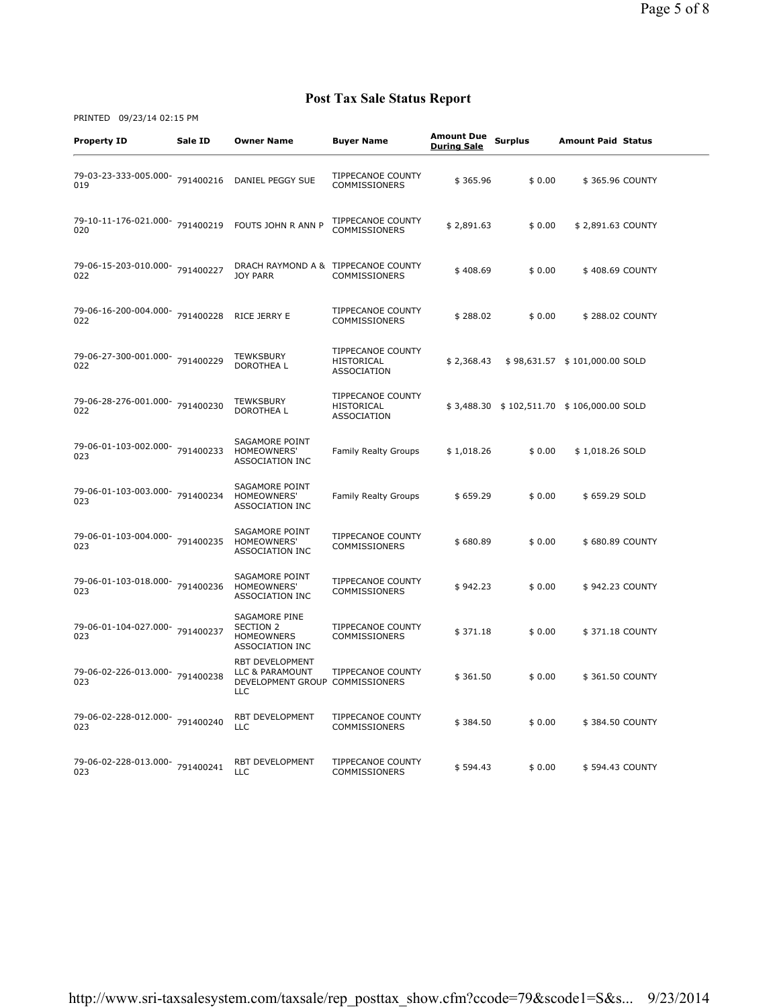| <b>Property ID</b>                     | Sale ID   | <b>Owner Name</b>                                                                          | <b>Buyer Name</b>                                            | <b>Amount Due</b><br><b>During Sale</b> | <b>Surplus</b> | <b>Amount Paid Status</b>                 |  |
|----------------------------------------|-----------|--------------------------------------------------------------------------------------------|--------------------------------------------------------------|-----------------------------------------|----------------|-------------------------------------------|--|
| 79-03-23-333-005.000- 791400216<br>019 |           | DANIEL PEGGY SUE                                                                           | TIPPECANOE COUNTY<br><b>COMMISSIONERS</b>                    | \$365.96                                | \$0.00         | \$365.96 COUNTY                           |  |
| 79-10-11-176-021.000-791400219<br>020  |           | FOUTS JOHN R ANN P                                                                         | TIPPECANOE COUNTY<br><b>COMMISSIONERS</b>                    | \$2,891.63                              | \$0.00         | \$2,891.63 COUNTY                         |  |
| 79-06-15-203-010.000-791400227<br>022  |           | DRACH RAYMOND A & TIPPECANOE COUNTY<br><b>JOY PARR</b>                                     | <b>COMMISSIONERS</b>                                         | \$408.69                                | \$0.00         | \$408.69 COUNTY                           |  |
| 79-06-16-200-004.000-791400228<br>022  |           | RICE JERRY E                                                                               | TIPPECANOE COUNTY<br>COMMISSIONERS                           | \$288.02                                | \$0.00         | \$288.02 COUNTY                           |  |
| 79-06-27-300-001.000- 791400229<br>022 |           | <b>TEWKSBURY</b><br><b>DOROTHEAL</b>                                                       | <b>TIPPECANOE COUNTY</b><br>HISTORICAL<br>ASSOCIATION        | \$2,368.43                              |                | \$98,631.57 \$101,000.00 SOLD             |  |
| 79-06-28-276-001.000- 791400230<br>022 |           | <b>TEWKSBURY</b><br>DOROTHEA L                                                             | <b>TIPPECANOE COUNTY</b><br>HISTORICAL<br><b>ASSOCIATION</b> |                                         |                | \$3,488.30 \$102,511.70 \$106,000.00 SOLD |  |
| 79-06-01-103-002.000- 791400233<br>023 |           | <b>SAGAMORE POINT</b><br>HOMEOWNERS'<br><b>ASSOCIATION INC</b>                             | <b>Family Realty Groups</b>                                  | \$1,018.26                              | \$0.00         | \$1,018.26 SOLD                           |  |
| 79-06-01-103-003.000- 791400234<br>023 |           | <b>SAGAMORE POINT</b><br><b>HOMEOWNERS'</b><br><b>ASSOCIATION INC</b>                      | <b>Family Realty Groups</b>                                  | \$659.29                                | \$0.00         | \$659.29 SOLD                             |  |
| 79-06-01-103-004.000-791400235<br>023  |           | SAGAMORE POINT<br>HOMEOWNERS'<br><b>ASSOCIATION INC</b>                                    | <b>TIPPECANOE COUNTY</b><br>COMMISSIONERS                    | \$680.89                                | \$0.00         | \$680.89 COUNTY                           |  |
| 79-06-01-103-018.000- 791400236<br>023 |           | <b>SAGAMORE POINT</b><br>HOMEOWNERS'<br><b>ASSOCIATION INC</b>                             | <b>TIPPECANOE COUNTY</b><br>COMMISSIONERS                    | \$942.23                                | \$0.00         | \$942.23 COUNTY                           |  |
| 79-06-01-104-027.000-<br>023           | 791400237 | SAGAMORE PINE<br><b>SECTION 2</b><br><b>HOMEOWNERS</b><br><b>ASSOCIATION INC</b>           | <b>TIPPECANOE COUNTY</b><br>COMMISSIONERS                    | \$371.18                                | \$0.00         | \$371.18 COUNTY                           |  |
| 79-06-02-226-013.000- 791400238<br>023 |           | <b>RBT DEVELOPMENT</b><br>LLC & PARAMOUNT<br>DEVELOPMENT GROUP COMMISSIONERS<br><b>LLC</b> | <b>TIPPECANOE COUNTY</b>                                     | \$361.50                                | \$0.00         | \$361.50 COUNTY                           |  |
| 79-06-02-228-012.000- 791400240<br>023 |           | RBT DEVELOPMENT<br><b>LLC</b>                                                              | TIPPECANOE COUNTY<br>COMMISSIONERS                           | \$384.50                                | \$0.00         | \$384.50 COUNTY                           |  |
| 79-06-02-228-013.000- 791400241<br>023 |           | RBT DEVELOPMENT<br>LLC                                                                     | TIPPECANOE COUNTY<br>COMMISSIONERS                           | \$594.43                                | \$0.00         | \$594.43 COUNTY                           |  |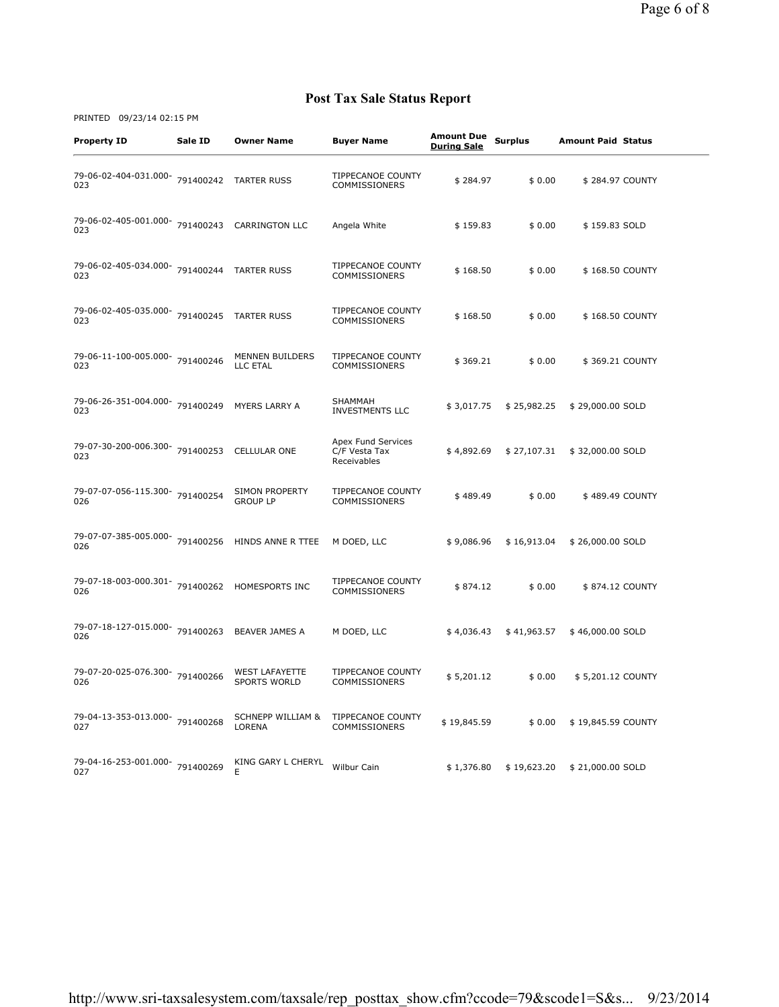| <b>Property ID</b>                                    | Sale ID | <b>Owner Name</b>                            | <b>Buyer Name</b>                                  | <b>Amount Due</b><br><b>During Sale</b> | <b>Surplus</b> | <b>Amount Paid Status</b> |  |
|-------------------------------------------------------|---------|----------------------------------------------|----------------------------------------------------|-----------------------------------------|----------------|---------------------------|--|
| 79-06-02-404-031.000- 791400242 TARTER RUSS<br>023    |         |                                              | <b>TIPPECANOE COUNTY</b><br>COMMISSIONERS          | \$284.97                                | \$0.00         | \$284.97 COUNTY           |  |
| 79-06-02-405-001.000- 791400243 CARRINGTON LLC<br>023 |         |                                              | Angela White                                       | \$159.83                                | \$0.00         | \$159.83 SOLD             |  |
| 79-06-02-405-034.000- 791400244<br>023                |         | <b>TARTER RUSS</b>                           | TIPPECANOE COUNTY<br><b>COMMISSIONERS</b>          | \$168.50                                | \$0.00         | \$168.50 COUNTY           |  |
| 79-06-02-405-035.000- 791400245<br>023                |         | <b>TARTER RUSS</b>                           | TIPPECANOE COUNTY<br>COMMISSIONERS                 | \$168.50                                | \$0.00         | \$168.50 COUNTY           |  |
| 79-06-11-100-005.000- 791400246<br>023                |         | MENNEN BUILDERS<br>LLC ETAL                  | <b>TIPPECANOE COUNTY</b><br><b>COMMISSIONERS</b>   | \$369.21                                | \$0.00         | \$369.21 COUNTY           |  |
| 79-06-26-351-004.000- 791400249<br>023                |         | MYERS LARRY A                                | <b>SHAMMAH</b><br><b>INVESTMENTS LLC</b>           | \$3,017.75                              | \$25,982.25    | \$29,000.00 SOLD          |  |
| 79-07-30-200-006.300- 791400253<br>023                |         | <b>CELLULAR ONE</b>                          | Apex Fund Services<br>C/F Vesta Tax<br>Receivables | \$4,892.69                              | \$27,107.31    | \$32,000.00 SOLD          |  |
| 79-07-07-056-115.300-791400254<br>026                 |         | <b>SIMON PROPERTY</b><br><b>GROUP LP</b>     | TIPPECANOE COUNTY<br><b>COMMISSIONERS</b>          | \$489.49                                | \$0.00         | \$489.49 COUNTY           |  |
| 79-07-07-385-005.000- 791400256<br>026                |         | HINDS ANNE R TTEE                            | M DOED, LLC                                        | \$9,086.96                              | \$16,913.04    | \$26,000.00 SOLD          |  |
| 79-07-18-003-000.301- 791400262 HOMESPORTS INC<br>026 |         |                                              | TIPPECANOE COUNTY<br>COMMISSIONERS                 | \$874.12                                | \$0.00         | \$874.12 COUNTY           |  |
| 79-07-18-127-015.000- 791400263 BEAVER JAMES A<br>026 |         |                                              | M DOED, LLC                                        | \$4,036.43                              | \$41,963.57    | \$46,000.00 SOLD          |  |
| 79-07-20-025-076.300- 791400266<br>026                |         | <b>WEST LAFAYETTE</b><br><b>SPORTS WORLD</b> | TIPPECANOE COUNTY<br>COMMISSIONERS                 | \$5,201.12                              | \$0.00         | \$5,201.12 COUNTY         |  |
| 79-04-13-353-013.000- 791400268<br>027                |         | <b>SCHNEPP WILLIAM &amp;</b><br>LORENA       | TIPPECANOE COUNTY<br>COMMISSIONERS                 | \$19,845.59                             | \$0.00         | \$19,845.59 COUNTY        |  |
| 79-04-16-253-001.000-791400269<br>027                 |         | KING GARY L CHERYL<br>Е                      | Wilbur Cain                                        | \$1,376.80                              | \$19,623.20    | \$21,000.00 SOLD          |  |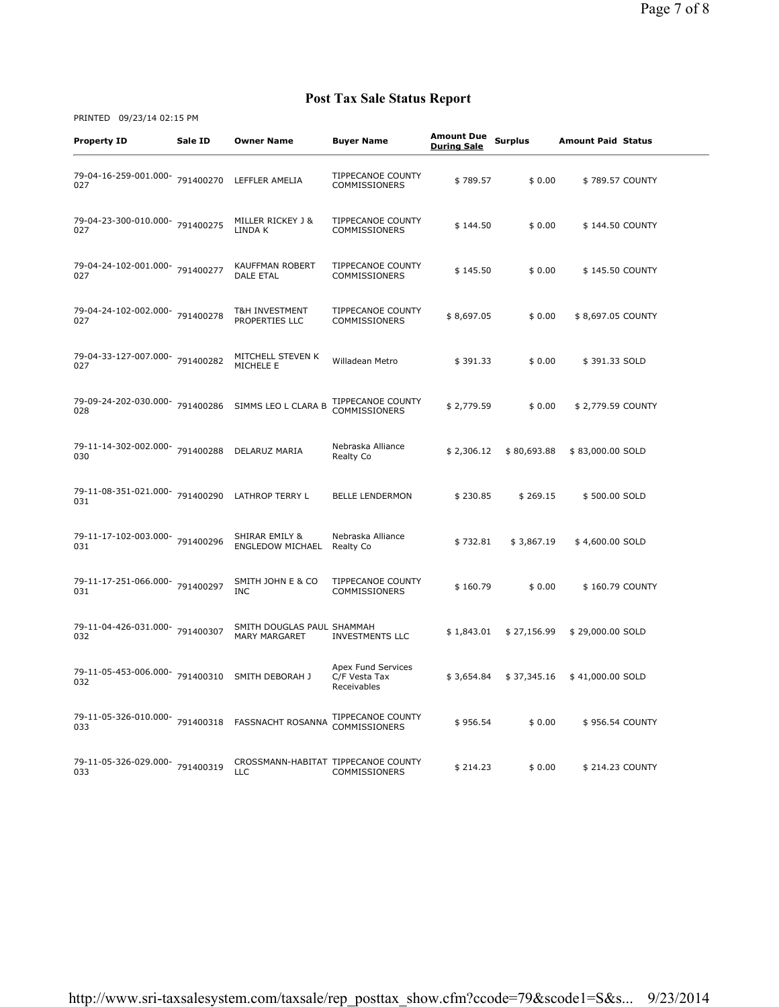| <b>Property ID</b>                                       | Sale ID | <b>Owner Name</b>                                  | <b>Buyer Name</b>                                  | <b>Amount Due</b><br><b>During Sale</b> | <b>Surplus</b> | <b>Amount Paid Status</b> |
|----------------------------------------------------------|---------|----------------------------------------------------|----------------------------------------------------|-----------------------------------------|----------------|---------------------------|
| 79-04-16-259-001.000- 791400270<br>027                   |         | LEFFLER AMELIA                                     | <b>TIPPECANOE COUNTY</b><br>COMMISSIONERS          | \$789.57                                | \$0.00         | \$789.57 COUNTY           |
| 79-04-23-300-010.000- 791400275<br>027                   |         | MILLER RICKEY J &<br>LINDA K                       | <b>TIPPECANOE COUNTY</b><br>COMMISSIONERS          | \$144.50                                | \$0.00         | \$144.50 COUNTY           |
| 79-04-24-102-001.000-791400277<br>027                    |         | <b>KAUFFMAN ROBERT</b><br><b>DALE ETAL</b>         | <b>TIPPECANOE COUNTY</b><br>COMMISSIONERS          | \$145.50                                | \$0.00         | \$145.50 COUNTY           |
| 79-04-24-102-002.000- 791400278<br>027                   |         | T&H INVESTMENT<br>PROPERTIES LLC                   | TIPPECANOE COUNTY<br>COMMISSIONERS                 | \$8,697.05                              | \$0.00         | \$8,697.05 COUNTY         |
| 79-04-33-127-007.000- 791400282<br>027                   |         | MITCHELL STEVEN K<br>MICHELE E                     | Willadean Metro                                    | \$391.33                                | \$0.00         | \$391.33 SOLD             |
| 79-09-24-202-030.000- 791400286<br>028                   |         | SIMMS LEO L CLARA B                                | TIPPECANOE COUNTY<br>COMMISSIONERS                 | \$2,779.59                              | \$0.00         | \$2,779.59 COUNTY         |
| 79-11-14-302-002.000- 791400288<br>030                   |         | DELARUZ MARIA                                      | Nebraska Alliance<br>Realty Co                     | \$2,306.12                              | \$80,693.88    | \$83,000.00 SOLD          |
| 79-11-08-351-021.000- 791400290<br>031                   |         | LATHROP TERRY L                                    | <b>BELLE LENDERMON</b>                             | \$230.85                                | \$269.15       | \$500.00 SOLD             |
| 79-11-17-102-003.000- 791400296<br>031                   |         | SHIRAR EMILY &<br><b>ENGLEDOW MICHAEL</b>          | Nebraska Alliance<br>Realty Co                     | \$732.81                                | \$3,867.19     | \$4,600.00 SOLD           |
| 79-11-17-251-066.000- 791400297<br>031                   |         | SMITH JOHN E & CO<br><b>INC</b>                    | <b>TIPPECANOE COUNTY</b><br>COMMISSIONERS          | \$160.79                                | \$0.00         | \$160.79 COUNTY           |
| 79-11-04-426-031.000- 791400307<br>032                   |         | SMITH DOUGLAS PAUL SHAMMAH<br><b>MARY MARGARET</b> | <b>INVESTMENTS LLC</b>                             | \$1,843.01                              | \$27,156.99    | \$29,000.00 SOLD          |
| 79-11-05-453-006.000- 791400310<br>032                   |         | SMITH DEBORAH J                                    | Apex Fund Services<br>C/F Vesta Tax<br>Receivables | \$3,654.84                              | \$37,345.16    | \$41,000.00 SOLD          |
| 79-11-05-326-010.000- 791400318 FASSNACHT ROSANNA<br>033 |         |                                                    | TIPPECANOE COUNTY<br>COMMISSIONERS                 | \$956.54                                | \$0.00         | \$956.54 COUNTY           |
| 79-11-05-326-029.000- 791400319<br>033                   |         | CROSSMANN-HABITAT TIPPECANOE COUNTY<br><b>LLC</b>  | COMMISSIONERS                                      | \$214.23                                | \$0.00         | \$214.23 COUNTY           |